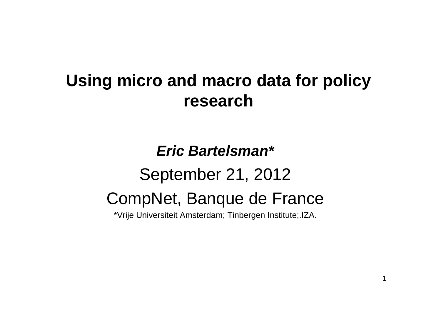### **Using micro and macro data for policy research**

### *Eric Bartelsman\**September 21, 2012 CompNet, Banque de France \*Vrije Universiteit Amsterdam; Tinbergen Institute;.IZA.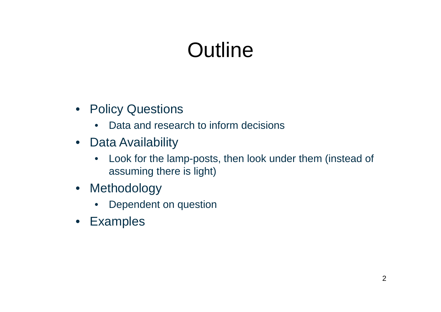## **Outline**

- Policy Questions
	- $\bullet$ Data and research to inform decisions
- Data Availability
	- $\bullet$  Look for the lamp-posts, then look under them (instead of assuming there is light)
- Methodology
	- $\bullet$ Dependent on question
- Examples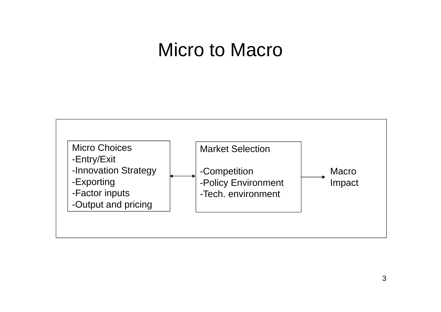### Micro to Macro

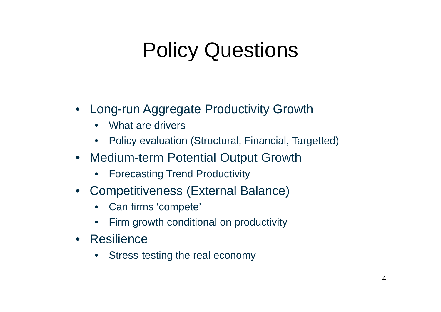## Policy Questions

- Long-run Aggregate Productivity Growth
	- $\bullet$ What are drivers
	- $\bullet$ Policy evaluation (Structural, Financial, Targetted)
- Medium-term Potential Output Growth
	- Forecasting Trend Productivity
- Competitiveness (External Balance)
	- $\bullet$ Can firms 'compete'
	- •Firm growth conditional on productivity
- Resilience
	- •Stress-testing the real economy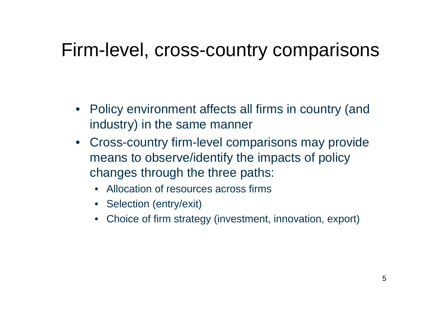### Firm-level, cross-country comparisons

- Policy environment affects all firms in country (and industry) in the same manner
- Cross-country firm-level comparisons may provide means to observe/identify the impacts of policy changes through the three paths:
	- Allocation of resources across firms
	- Selection (entry/exit)
	- Choice of firm strategy (investment, innovation, export)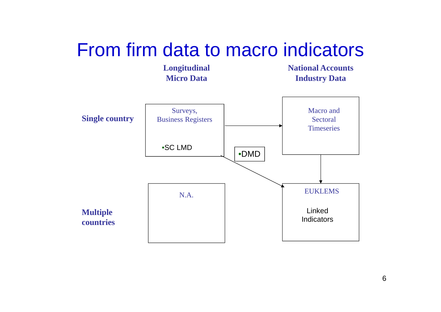### From firm data to macro indicators

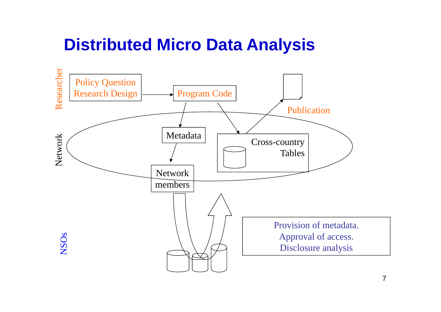### **Distributed Micro Data Analysis**

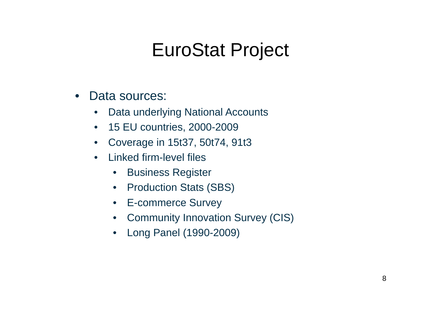### EuroStat Project

- $\bullet$  Data sources:
	- •Data underlying National Accounts
	- $\bullet$ 15 EU countries, 2000-2009
	- $\bullet$ Coverage in 15t37, 50t74, 91t3
	- $\bullet$  Linked firm-level files
		- $\bullet$ Business Register
		- Production Stats (SBS)
		- E-commerce Survey
		- Community Innovation Survey (CIS)
		- $\bullet$ Long Panel (1990-2009)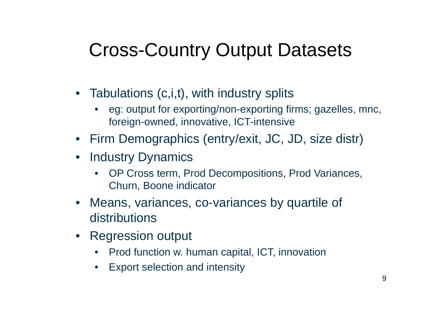## Cross-Country Output Datasets

- Tabulations (c,i,t), with industry splits
	- eg: output for exporting/non-exporting firms; gazelles, mnc, foreign-owned, innovative, ICT-intensive
- Firm Demographics (entry/exit, JC, JD, size distr)
- Industry Dynamics
	- • OP Cross term, Prod Decompositions, Prod Variances, Churn, Boone indicator
- Means, variances, co-variances by quartile of distributions
- Regression output
	- •Prod function w. human capital, ICT, innovation
	- •Export selection and intensity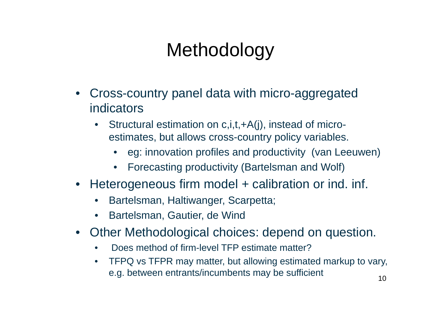## **Methodology**

- Cross-country panel data with micro-aggregated indicators
	- • Structural estimation on c,i,t,+A(j), instead of microestimates, but allows cross-country policy variables.
		- eg: innovation profiles and productivity (van Leeuwen)
		- •Forecasting productivity (Bartelsman and Wolf)
- Heterogeneous firm model + calibration or ind. inf.
	- •Bartelsman, Haltiwanger, Scarpetta;
	- $\bullet$ Bartelsman, Gautier, de Wind
- Other Methodological choices: depend on question.
	- •Does method of firm-level TFP estimate matter?
	- $\bullet$  TFPQ vs TFPR may matter, but allowing estimated markup to vary, e.g. between entrants/incumbents may be sufficient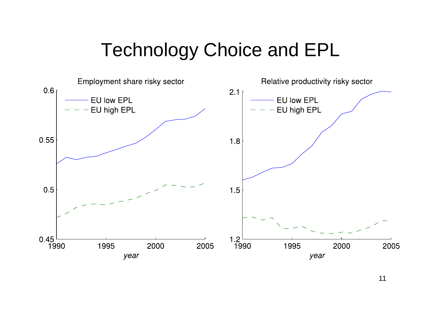## Technology Choice and EPL

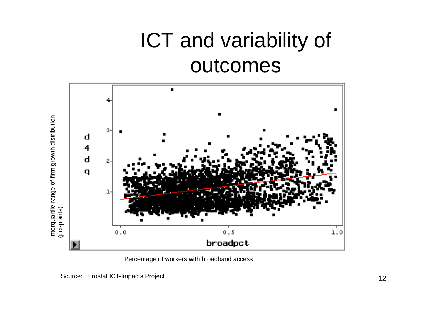## ICT and variability of outcomes



Percentage of workers with broadband access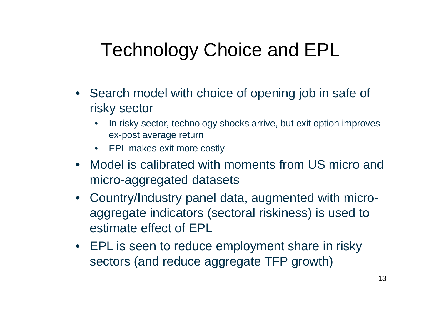## Technology Choice and EPL

- Search model with choice of opening job in safe of risky sector
	- • In risky sector, technology shocks arrive, but exit option improves ex-post average return
	- EPL makes exit more costly
- Model is calibrated with moments from US micro and micro-aggregated datasets
- Country/Industry panel data, augmented with microaggregate indicators (sectoral riskiness) is used to estimate effect of EPL
- EPL is seen to reduce employment share in risky sectors (and reduce aggregate TFP growth)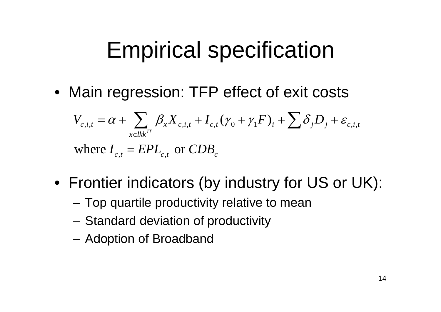# Empirical specification

• Main regression: TFP effect of exit costs

$$
V_{c,i,t} = \alpha + \sum_{x \in lkk} \beta_x X_{c,i,t} + I_{c,t} (\gamma_0 + \gamma_1 F)_i + \sum \delta_j D_j + \varepsilon_{c,i,t}
$$
  
where  $I_{c,t} = EPL_{c,t}$  or  $CDB_c$ 

- Frontier indicators (by industry for US or UK):
	- –Top quartile productivity relative to mean
	- –Standard deviation of productivity
	- –Adoption of Broadband

, ,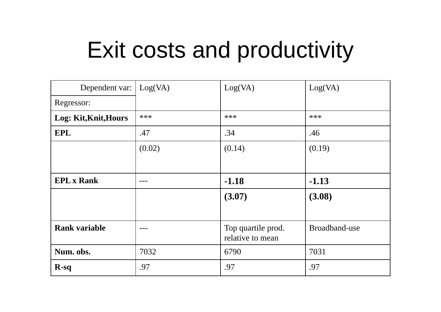# Exit costs and productivity

| Dependent var: $\log(VA)$ |        | Log(VA)                                | Log(VA)       |
|---------------------------|--------|----------------------------------------|---------------|
| Regressor:                |        |                                        |               |
| Log: Kit, Knit, Hours     | ***    | ***                                    | ***           |
| <b>EPL</b>                | .47    | .34                                    | .46           |
|                           | (0.02) | (0.14)                                 | (0.19)        |
|                           |        |                                        |               |
| <b>EPL x Rank</b>         |        | $-1.18$                                | $-1.13$       |
|                           |        | (3.07)                                 | (3.08)        |
|                           |        |                                        |               |
| <b>Rank variable</b>      |        | Top quartile prod.<br>relative to mean | Broadband-use |
| Num. obs.                 | 7032   | 6790                                   | 7031          |
| $R-sq$                    | .97    | .97                                    | .97           |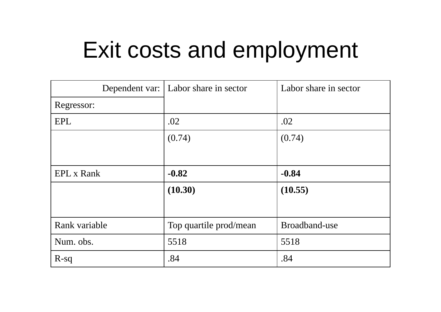# Exit costs and employment

|                   | Dependent var:   Labor share in sector | Labor share in sector |
|-------------------|----------------------------------------|-----------------------|
| Regressor:        |                                        |                       |
| EPL               | .02                                    | .02                   |
|                   | (0.74)                                 | (0.74)                |
|                   |                                        |                       |
| <b>EPL x Rank</b> | $-0.82$                                | $-0.84$               |
|                   | (10.30)                                | (10.55)               |
|                   |                                        |                       |
| Rank variable     | Top quartile prod/mean                 | Broadband-use         |
| Num. obs.         | 5518                                   | 5518                  |
| $R-sq$            | .84                                    | .84                   |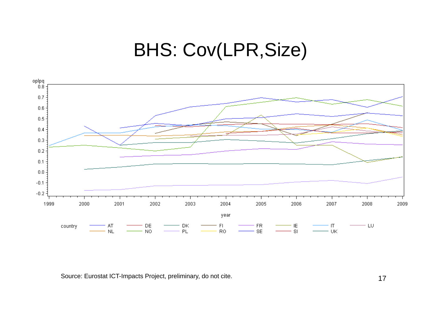### BHS: Cov(LPR,Size)



Source: Eurostat ICT-Impacts Project, preliminary, do not cite.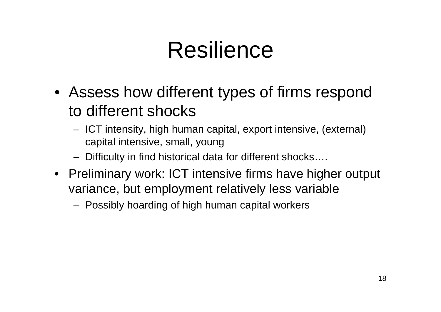# Resilience

- Assess how different types of firms respond to different shocks
	- ICT intensity, high human capital, export intensive, (external) capital intensive, small, young
	- Difficulty in find historical data for different shocks….
- Preliminary work: ICT intensive firms have higher output variance, but employment relatively less variable
	- Possibly hoarding of high human capital workers